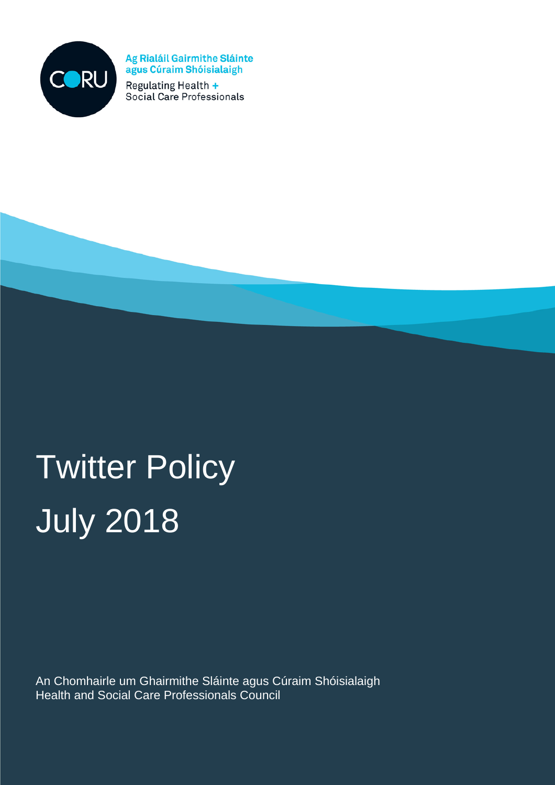

Ag Rialáil Gairmithe Sláinte agus Cúraim Shóisialaigh

Regulating Health +<br>Social Care Professionals

# Twitter Policy July 2018

An Chomhairle um Ghairmithe Sláinte agus Cúraim Shóisialaigh Health and Social Care Professionals Council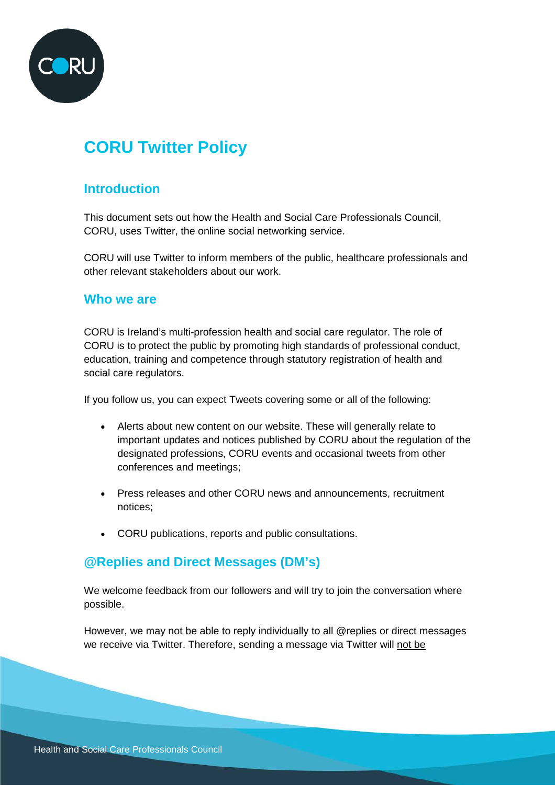

# **CORU Twitter Policy**

## **Introduction**

This document sets out how the Health and Social Care Professionals Council, CORU, uses Twitter, the online social networking service.

CORU will use Twitter to inform members of the public, healthcare professionals and other relevant stakeholders about our work.

#### **Who we are**

CORU is Ireland's multi-profession health and social care regulator. The role of CORU is to protect the public by promoting high standards of professional conduct, education, training and competence through statutory registration of health and social care regulators.

If you follow us, you can expect Tweets covering some or all of the following:

- Alerts about new content on our website. These will generally relate to important updates and notices published by CORU about the regulation of the designated professions, CORU events and occasional tweets from other conferences and meetings;
- Press releases and other CORU news and announcements, recruitment notices;
- CORU publications, reports and public consultations.

#### **@Replies and Direct Messages (DM's)**

We welcome feedback from our followers and will try to join the conversation where possible.

However, we may not be able to reply individually to all @replies or direct messages we receive via Twitter. Therefore, sending a message via Twitter will not be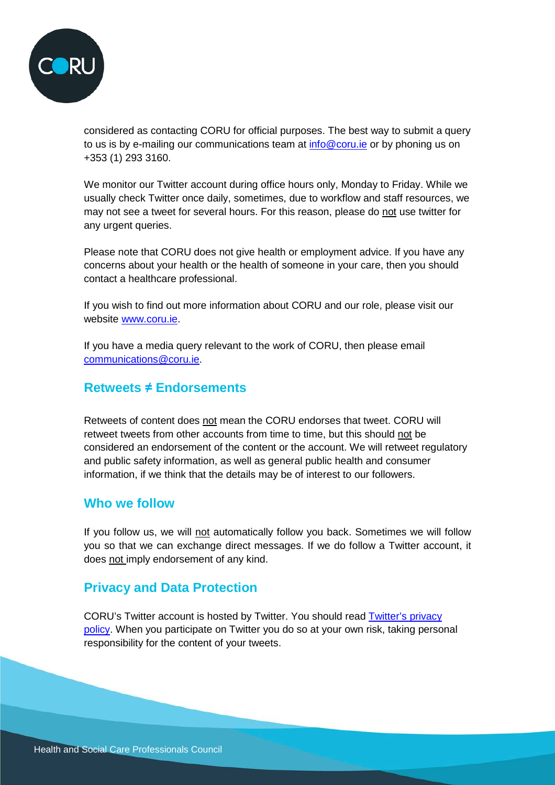

considered as contacting CORU for official purposes. The best way to submit a query to us is by e-mailing our communications team at  $in 0$  coru. ie or by phoning us on +353 (1) 293 3160.

We monitor our Twitter account during office hours only, Monday to Friday. While we usually check Twitter once daily, sometimes, due to workflow and staff resources, we may not see a tweet for several hours. For this reason, please do not use twitter for any urgent queries.

Please note that CORU does not give health or employment advice. If you have any concerns about your health or the health of someone in your care, then you should contact a healthcare professional.

If you wish to find out more information about CORU and our role, please visit our website [www.coru.ie.](http://www.coru.ie/)

If you have a media query relevant to the work of CORU, then please email [communications@coru.ie.](mailto:communications@coru.ie)

#### **Retweets ≠ Endorsements**

Retweets of content does not mean the CORU endorses that tweet. CORU will retweet tweets from other accounts from time to time, but this should not be considered an endorsement of the content or the account. We will retweet regulatory and public safety information, as well as general public health and consumer information, if we think that the details may be of interest to our followers.

#### **Who we follow**

If you follow us, we will not automatically follow you back. Sometimes we will follow you so that we can exchange direct messages. If we do follow a Twitter account, it does not imply endorsement of any kind.

#### **Privacy and Data Protection**

CORU's Twitter account is hosted by Twitter. You should read [Twitter's privacy](https://twitter.com/privacy?lang=en)  [policy.](https://twitter.com/privacy?lang=en) When you participate on Twitter you do so at your own risk, taking personal responsibility for the content of your tweets.